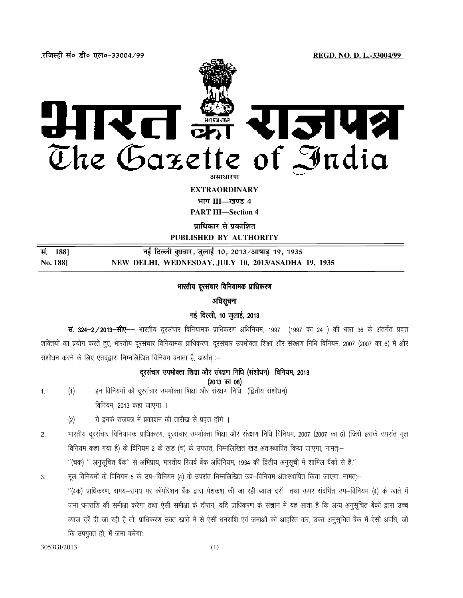.**jftLVªh laö Mhö ,yö&33004@99 REGD. NO. D. L.-33004/99**



**EXTRAORDINARY** 

**Hkkx III—[k.M 4**

**PART III—Section 4** 

**प्राधिकार से प्रकाशित** 

**PUBLISHED BY AUTHORITY** 

| सं. 1881        | नई दिल्ली बुधवार, जुलाई 10, 2013 ⁄ आषाढ़ 19, 1935   |
|-----------------|-----------------------------------------------------|
| <b>No. 1881</b> | NEW DELHI, WEDNESDAY, JULY 10, 2013/ASADHA 19, 1935 |

# भारतीय दूरसंचार विनियामक प्राधिकरण

## अधिसूचना

## नई दिल्ली, 10 जुलाई, 2013

**सं. 324-2/2013-सीए--** भारतीय दूरसंचार विनियामक प्राधिकरण अधिनियम, 1997 (1997 का 24 ) की धारा 36 के अंतर्गत प्रदत्त शक्तियों का प्रयोग करते हुए, भारतीय दूरसंचार विनियामक प्राधिकरण, दूरसंचार उपभोक्ता शिक्षा और संरक्षण निधि विनियम, 2007 (2007 का 6) में और संशोधन करने के लिए एतदद्वारा निम्नलिखित विनियम बनाता है, अर्थात :-

# दुरसचार उपभोक्ता शिक्षा और संरक्षण निधि (संशोधन) विनियम, 2013

 $(2013 \text{ }\overline{p}708)$ 

- 1. (1) इन विनियमों को दूरसंचार उपभोक्ता शिक्षा और संरक्षण निधि (द्वितीय संशोधन) विनियम, 2013 कहा जाएगा ।
	- (2) ये इनके राजपत्र में प्रकाशन की तारीख से प्रवृत्त होंगे ।
- 2. भारतीय दूरसंचार विनियामक प्राधिकरण, दूरसंचार उपभोक्ता शिक्षा और संरक्षण निधि विनियम, 2007 (2007 का 6) (जिसे इसके उपरांत मूल faनियम कहा गया है) के विनियम 2 के खंड (च) के उपरांत, निम्नलिखित खंड अंतःस्थापित किया जाएगा, नामत्—

 $^{\prime\prime}$ (चक)  $^{\prime\prime}$  अनुसूचित बैंक $^{\prime\prime}$  से अभिप्राय, भारतीय रिजर्व बैंक अधिनियम, 1934 की द्वितीय अनुसूची में शामिल बैंकों से है,''

3. मूल विनियमों के विनियम 5 के उप–विनियम (4) के उपरांत निम्नलिखित उप–विनियम अंतःस्थापित किया जाएगा, नामत्:–

''(4क) प्राधिकरण, समय—समय पर कॉर्पोरेशन बैंक द्वारा पेशकश की जा रही ब्याज दरों तथा ऊपर संदर्भित उप—विनियम (4) के खाते में जमा धनराशि की समीक्षा करेगा तथा ऐसी समीक्षा के दौरान, यदि प्राधिकरण के संज्ञान में यह आता है कि अन्य अनुसूचित बैंकों द्वारा उच्च ब्याज दरें दी जा रही है तो, प्राधिकरण उक्त खाते में से ऐसी धनराशि एवं जमाओं को आहरित कर, उक्त अनुसूचित बैंक में ऐसी अवधि, जो कि उपयुक्त हो, में जमा करेगाः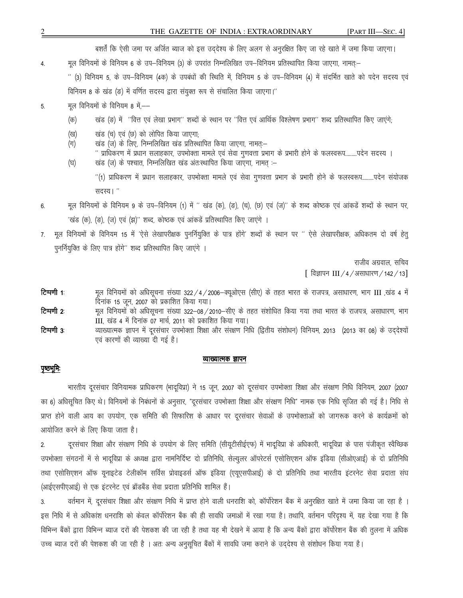बशर्तें कि ऐसी जमा पर अर्जित ब्याज को इस उद्देश्य के लिए अलग से अनुरक्षित किए जा रहे खाते में जमा किया जाएगा।

मूल विनियमों के विनियम 6 के उप–विनियम (3) के उपरांत निम्नलिखित उप–विनियम प्रतिस्थापित किया जाएगा, नामतः– 4.

'' (3) विनियम 5, के उप—विनियम (4क) के उपबंधों की स्थिति में, विनियम 5 के उप—विनियम (4) में संदर्भित खाते को पदेन सदस्य एवं विनियम 8 के खंड (ड) में वर्णित सदस्य द्वारा संयुक्त रूप से संचालित किया जाएगा।''

- मूल विनियमों के विनियम 8 में,—— 5.
	- खंड (ङ) में "वित्त एवं लेखा प्रभाग" शब्दों के स्थान पर "वित्त एवं आर्थिक विश्लेषण प्रभाग" शब्द प्रतिस्थापित किए जाएंगे;  $(\overline{\Phi})$
	- खंड (च) एवं (छ) को लोपित किया जाएगा; (ख)
	- खंड (ज) के लिए, निम्नलिखित खंड प्रतिस्थापित किया जाएगा, नामत्-(ग)
	- " प्राधिकरण में प्रधान सलाहकार, उपभोक्ता मामले एवं सेवा गुणवत्ता प्रभाग के प्रभारी होने के फलस्वरूप.........पदेन सदस्य । खंड (ज) के पश्चात, निम्नलिखित खंड अंतःस्थापित किया जाएगा, नामत :-(घ)

"(1) प्राधिकरण में प्रधान सलाहकार, उपभोक्ता मामले एवं सेवा गुणवत्ता प्रभाग के प्रभारी होने के फलस्वरूप.........पदेन संयोजक सदस्य। "

- मूल विनियमों के विनियम 9 के उप–विनियम (1) में "खंड (क), (ङ), (च), (छ) एवं (ज)" के शब्द कोष्ठक एवं आंकडें शब्दों के स्थान पर, 6 'खंड (क), (ङ), (ज) एवं (झ)'' शब्द, कोष्ठक एवं आंकड़े प्रतिस्थापित किए जाएंगे ।
- मूल विनियमों के विनियम 15 में 'ऐसे लेखापरीक्षक पुनर्नियुक्ति के पात्र होंगे' शब्दों के स्थान पर '' ऐसे लेखापरीक्षक, अधिकतम दो वर्ष हेतु 7. पूनर्नियुक्ति के लिए पात्र होंगे" शब्द प्रतिस्थापित किए जाएंगे ।

राजीव अग्रवाल, सचिव

[ विज्ञापन III / 4 / असाधारण / 142 / 13]

- टिप्पणी 1 मूल विनियमों को अधिसूचना संख्या 322/4/2006–क्यूओएस (सीए) के तहत भारत के राजपत्र, असाधारण, भाग III ,खंड 4 में दिनांक 15 जून, 2007 को प्रकाशित किया गया।
- मूल विनियमों को अधिसूचना संख्या 322–08/2010–सीए के तहत संशोधित किया गया तथा भारत के राजपत्र, असाधारण, भाग टिप्पणी २ III, खंड 4 में दिनांक 07 मार्च, 2011 को प्रकाशित किया गया।
- टिप्पणी 3 व्याख्यात्मक ज्ञापन में दूरसंचार उपभोक्ता शिक्षा और संरक्षण निधि (द्वितीय संशोधन) विनियम, 2013 (2013 का 08) के उद्देश्यों एवं कारणों की व्याख्या दी गई है।

#### व्याख्यात्मक <u>ज्ञापन</u>

## <u>पृष्ठभूमिः</u>

भारतीय दूरसंचार विनियामक प्राधिकरण (भादूविप्रा) ने 15 जून, 2007 को दूरसंचार उपभोक्ता शिक्षा और संरक्षण निधि विनियम, 2007 (2007 का 6) अधिसूचित किए थे। विनियमों के निबंधनों के अनुसार, "दूरसंचार उपभोक्ता शिक्षा और संरक्षण निधि" नामक एक निधि सृजित की गई है। निधि से प्राप्त होने वाली आय का उपयोग, एक समिति की सिफारिश के आधार पर दुरसंचार सेवाओं के उपभोक्ताओं को जागरूक करने के कार्यक्रमों को आयोजित करने के लिए किया जाता है।

दूरसंचार शिक्षा और संरक्षण निधि के उपयोग के लिए समिति (सीयूटीसीईएफ) में भादूविप्रा के अधिकारी, भादूविप्रा के पास पंजीकृत स्वैच्छिक  $2.$ उपभोक्ता संगठनों में से भादूविप्रा के अध्यक्ष द्वारा नामनिर्दिष्ट दो प्रतिनिधि, सेल्युलर ऑपरेटर्स एसोसिएशन ऑफ इंडिया (सीओएआई) के दो प्रतिनिधि तथा एसोसिएशन ऑफ यूनाइटेड टेलीकॉम सर्विस प्रोवाइडर्स ऑफ इंडिया (एयूएसपीआई) के दो प्रतिनिधि तथा भारतीय इंटरनेट सेवा प्रदाता संघ (आईएसपीएआई) से एक इंटरनेट एवं ब्रॉडबैंड सेवा प्रदाता प्रतिनिधि शामिल हैं।

वर्तमान में, दूरसंचार शिक्षा और संरक्षण निधि में प्राप्त होने वाली धनराशि को, कॉर्पोरेशन बैंक में अनुरक्षित खाते में जमा किया जा रहा है 3. इस निधि में से अधिकांश धनराशि को केवल कॉर्पोरेशन बैंक की ही सावधि जमाओं में रखा गया है। तथापि, वर्तमान परिदृश्य में, यह देखा गया है कि विभिन्न बैंकों द्वारा विभिन्न ब्याज दरों की पेशकश की जा रही है तथा यह भी देखने में आया है कि अन्य बैंकों द्वारा कॉर्पोरेशन बैंक की तुलना में अधिक उच्च ब्याज दरों की पेशकश की जा रही है । अतः अन्य अनुसूचित बैंकों में सावधि जमा कराने के उद्देश्य से संशोधन किया गया है।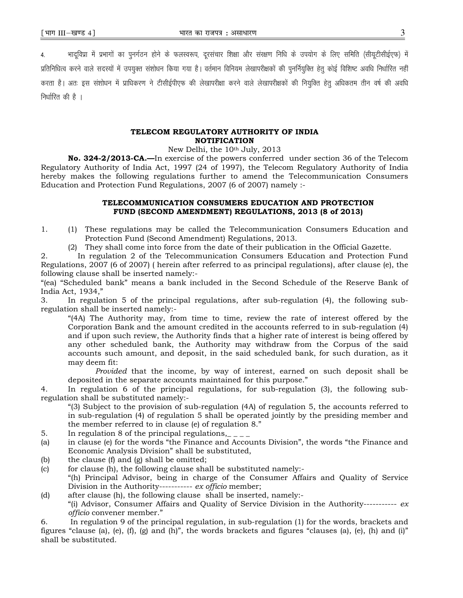4. भादविप्रा में प्रभागों का पुनर्गठन होने के फलस्वरूप, दूरसचार शिक्षा और संरक्षण निधि के उपयोग के लिए समिति (सीयूटीसीईएफ) में प्रतिनिधित्व करने वाले सदस्यों में उपयुक्त संशोधन किया गया है। वर्तमान विनियम लेखापरीक्षकों की पुनर्नियुक्ति हेतू कोई विशिष्ट अवधि निर्धारित नहीं करता है। अतः इस संशोधन में प्राधिकरण ने टीसीईपीएफ की लेखापरीक्षा करने वाले लेखापरीक्षकों की नियुक्ति हेतू अधिकतम तीन वर्ष की अवधि निर्धारित की है $\perp$ 

#### TELECOM REGULATORY AUTHORITY OF INDIA NOTIFICATION

New Delhi, the 10th July, 2013

No. 324-2/2013-CA.—In exercise of the powers conferred under section 36 of the Telecom Regulatory Authority of India Act, 1997 (24 of 1997), the Telecom Regulatory Authority of India hereby makes the following regulations further to amend the Telecommunication Consumers Education and Protection Fund Regulations, 2007 (6 of 2007) namely :-

#### TELECOMMUNICATION CONSUMERS EDUCATION AND PROTECTION FUND (SECOND AMENDMENT) REGULATIONS, 2013 (8 of 2013)

- 1. (1) These regulations may be called the Telecommunication Consumers Education and Protection Fund (Second Amendment) Regulations, 2013.
	- (2) They shall come into force from the date of their publication in the Official Gazette.

2. In regulation 2 of the Telecommunication Consumers Education and Protection Fund Regulations, 2007 (6 of 2007) ( herein after referred to as principal regulations), after clause (e), the following clause shall be inserted namely:-

"(ea) "Scheduled bank" means a bank included in the Second Schedule of the Reserve Bank of India Act, 1934,"

3. In regulation 5 of the principal regulations, after sub-regulation (4), the following subregulation shall be inserted namely:-

"(4A) The Authority may, from time to time, review the rate of interest offered by the Corporation Bank and the amount credited in the accounts referred to in sub-regulation (4) and if upon such review, the Authority finds that a higher rate of interest is being offered by any other scheduled bank, the Authority may withdraw from the Corpus of the said accounts such amount, and deposit, in the said scheduled bank, for such duration, as it may deem fit:

Provided that the income, by way of interest, earned on such deposit shall be deposited in the separate accounts maintained for this purpose."

4. In regulation 6 of the principal regulations, for sub-regulation (3), the following subregulation shall be substituted namely:-

"(3) Subject to the provision of sub-regulation (4A) of regulation 5, the accounts referred to in sub-regulation (4) of regulation 5 shall be operated jointly by the presiding member and the member referred to in clause (e) of regulation 8."

- 5. In regulation 8 of the principal regulations,  $\epsilon$
- (a) in clause (e) for the words "the Finance and Accounts Division", the words "the Finance and Economic Analysis Division" shall be substituted,
- (b) the clause  $(f)$  and  $(g)$  shall be omitted;
- (c) for clause (h), the following clause shall be substituted namely:- "(h) Principal Advisor, being in charge of the Consumer Affairs and Quality of Service Division in the Authority----------- ex officio member;
- (d) after clause (h), the following clause shall be inserted, namely:- "(i) Advisor, Consumer Affairs and Quality of Service Division in the Authority-----------  $ex$ officio convener member."

6. In regulation 9 of the principal regulation, in sub-regulation (1) for the words, brackets and figures "clause (a), (e), (f), (g) and (h)", the words brackets and figures "clauses (a), (e), (h) and (i)" shall be substituted.